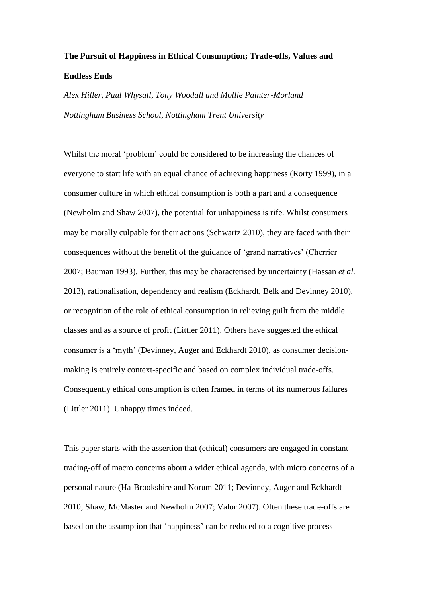## **The Pursuit of Happiness in Ethical Consumption; Trade-offs, Values and Endless Ends**

*Alex Hiller, Paul Whysall, Tony Woodall and Mollie Painter-Morland Nottingham Business School, Nottingham Trent University*

Whilst the moral 'problem' could be considered to be increasing the chances of everyone to start life with an equal chance of achieving happiness (Rorty 1999), in a consumer culture in which ethical consumption is both a part and a consequence (Newholm and Shaw 2007), the potential for unhappiness is rife. Whilst consumers may be morally culpable for their actions (Schwartz 2010), they are faced with their consequences without the benefit of the guidance of 'grand narratives' (Cherrier 2007; Bauman 1993). Further, this may be characterised by uncertainty (Hassan *et al.* 2013), rationalisation, dependency and realism (Eckhardt, Belk and Devinney 2010), or recognition of the role of ethical consumption in relieving guilt from the middle classes and as a source of profit (Littler 2011). Others have suggested the ethical consumer is a 'myth' (Devinney, Auger and Eckhardt 2010), as consumer decisionmaking is entirely context-specific and based on complex individual trade-offs. Consequently ethical consumption is often framed in terms of its numerous failures (Littler 2011). Unhappy times indeed.

This paper starts with the assertion that (ethical) consumers are engaged in constant trading-off of macro concerns about a wider ethical agenda, with micro concerns of a personal nature (Ha-Brookshire and Norum 2011; Devinney, Auger and Eckhardt 2010; Shaw*,* McMaster and Newholm 2007; Valor 2007). Often these trade-offs are based on the assumption that 'happiness' can be reduced to a cognitive process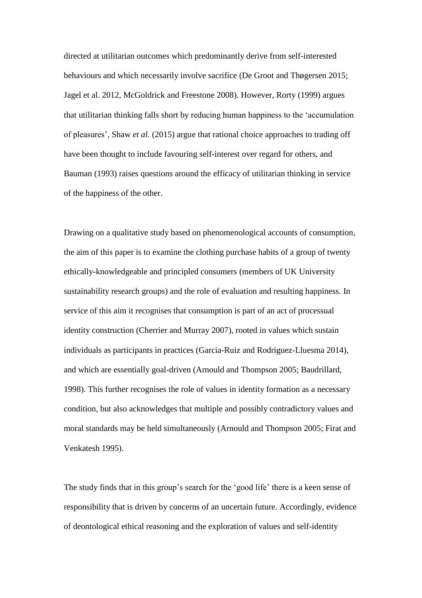directed at utilitarian outcomes which predominantly derive from self-interested behaviours and which necessarily involve sacrifice (De Groot and Thøgersen 2015; Jagel et al. 2012, McGoldrick and Freestone 2008). However, Rorty (1999) argues that utilitarian thinking falls short by reducing human happiness to the 'accumulation of pleasures', Shaw *et al.* (2015) argue that rational choice approaches to trading off have been thought to include favouring self-interest over regard for others, and Bauman (1993) raises questions around the efficacy of utilitarian thinking in service of the happiness of the other.

Drawing on a qualitative study based on phenomenological accounts of consumption, the aim of this paper is to examine the clothing purchase habits of a group of twenty ethically-knowledgeable and principled consumers (members of UK University sustainability research groups) and the role of evaluation and resulting happiness. In service of this aim it recognises that consumption is part of an act of processual identity construction (Cherrier and Murray 2007), rooted in values which sustain individuals as participants in practices (Garcia-Ruiz and Rodriguez-Lluesma 2014), and which are essentially goal-driven (Arnould and Thompson 2005; Baudrillard, 1998). This further recognises the role of values in identity formation as a necessary condition, but also acknowledges that multiple and possibly contradictory values and moral standards may be held simultaneously (Arnould and Thompson 2005; Firat and Venkatesh 1995).

The study finds that in this group's search for the 'good life' there is a keen sense of responsibility that is driven by concerns of an uncertain future. Accordingly, evidence of deontological ethical reasoning and the exploration of values and self-identity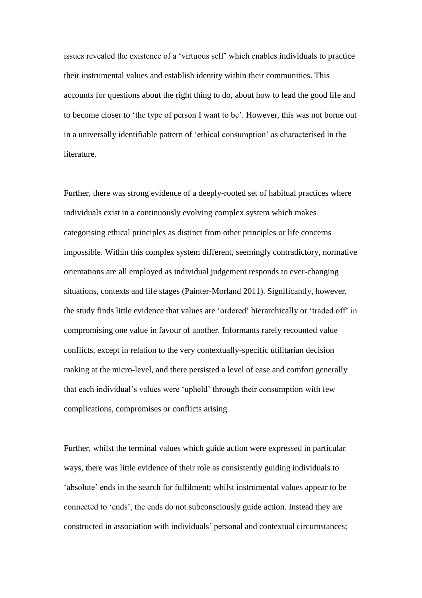issues revealed the existence of a 'virtuous self' which enables individuals to practice their instrumental values and establish identity within their communities. This accounts for questions about the right thing to do, about how to lead the good life and to become closer to 'the type of person I want to be'. However, this was not borne out in a universally identifiable pattern of 'ethical consumption' as characterised in the literature.

Further, there was strong evidence of a deeply-rooted set of habitual practices where individuals exist in a continuously evolving complex system which makes categorising ethical principles as distinct from other principles or life concerns impossible. Within this complex system different, seemingly contradictory, normative orientations are all employed as individual judgement responds to ever-changing situations, contexts and life stages (Painter-Morland 2011). Significantly, however, the study finds little evidence that values are 'ordered' hierarchically or 'traded off' in compromising one value in favour of another. Informants rarely recounted value conflicts, except in relation to the very contextually-specific utilitarian decision making at the micro-level, and there persisted a level of ease and comfort generally that each individual's values were 'upheld' through their consumption with few complications, compromises or conflicts arising.

Further, whilst the terminal values which guide action were expressed in particular ways, there was little evidence of their role as consistently guiding individuals to 'absolute' ends in the search for fulfilment; whilst instrumental values appear to be connected to 'ends', the ends do not subconsciously guide action. Instead they are constructed in association with individuals' personal and contextual circumstances;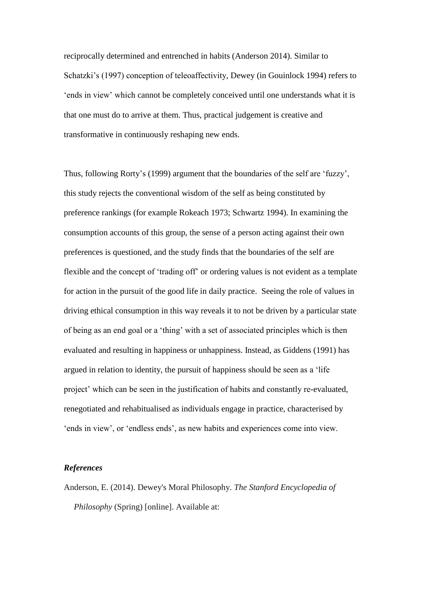reciprocally determined and entrenched in habits (Anderson 2014). Similar to Schatzki's (1997) conception of teleoaffectivity, Dewey (in Gouinlock 1994) refers to 'ends in view' which cannot be completely conceived until one understands what it is that one must do to arrive at them. Thus, practical judgement is creative and transformative in continuously reshaping new ends.

Thus, following Rorty's (1999) argument that the boundaries of the self are 'fuzzy', this study rejects the conventional wisdom of the self as being constituted by preference rankings (for example Rokeach 1973; Schwartz 1994). In examining the consumption accounts of this group, the sense of a person acting against their own preferences is questioned, and the study finds that the boundaries of the self are flexible and the concept of 'trading off' or ordering values is not evident as a template for action in the pursuit of the good life in daily practice. Seeing the role of values in driving ethical consumption in this way reveals it to not be driven by a particular state of being as an end goal or a 'thing' with a set of associated principles which is then evaluated and resulting in happiness or unhappiness. Instead, as Giddens (1991) has argued in relation to identity, the pursuit of happiness should be seen as a 'life project' which can be seen in the justification of habits and constantly re-evaluated, renegotiated and rehabitualised as individuals engage in practice, characterised by 'ends in view', or 'endless ends', as new habits and experiences come into view.

## *References*

Anderson, E. (2014). Dewey's Moral Philosophy. *The Stanford Encyclopedia of Philosophy* (Spring) [online]. Available at: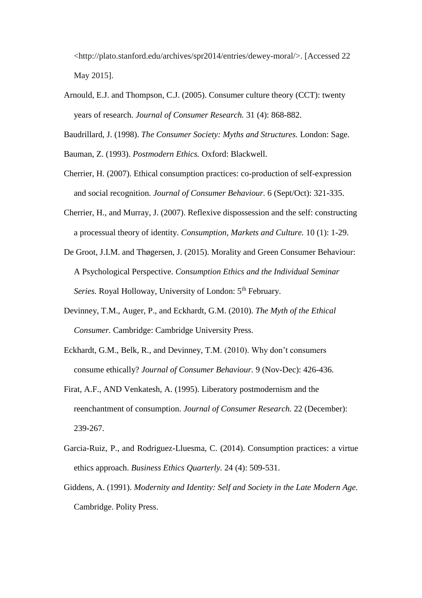<http://plato.stanford.edu/archives/spr2014/entries/dewey-moral/>. [Accessed 22 May 2015].

- Arnould, E.J. and Thompson, C.J. (2005). Consumer culture theory (CCT): twenty years of research. *Journal of Consumer Research.* 31 (4): 868-882.
- Baudrillard, J. (1998). *The Consumer Society: Myths and Structures.* London: Sage.
- Bauman, Z. (1993). *Postmodern Ethics.* Oxford: Blackwell.
- Cherrier, H. (2007). Ethical consumption practices: co-production of self-expression and social recognition. *Journal of Consumer Behaviour.* 6 (Sept/Oct): 321-335.
- Cherrier, H., and Murray, J. (2007). Reflexive dispossession and the self: constructing a processual theory of identity. *Consumption, Markets and Culture.* 10 (1): 1-29.
- De Groot, J.I.M. and Thøgersen, J. (2015). Morality and Green Consumer Behaviour: A Psychological Perspective. *Consumption Ethics and the Individual Seminar*  Series. Royal Holloway, University of London: 5<sup>th</sup> February.
- Devinney, T.M., Auger, P., and Eckhardt, G.M. (2010). *The Myth of the Ethical Consumer.* Cambridge: Cambridge University Press.
- Eckhardt, G.M., Belk, R., and Devinney, T.M. (2010). Why don't consumers consume ethically? *Journal of Consumer Behaviour.* 9 (Nov-Dec): 426-436.
- Firat, A.F., AND Venkatesh, A. (1995). Liberatory postmodernism and the reenchantment of consumption. *Journal of Consumer Research.* 22 (December): 239-267.
- Garcia-Ruiz, P., and Rodriguez-Lluesma, C. (2014). Consumption practices: a virtue ethics approach. *Business Ethics Quarterly.* 24 (4): 509-531.
- Giddens, A. (1991). *Modernity and Identity: Self and Society in the Late Modern Age.*  Cambridge. Polity Press.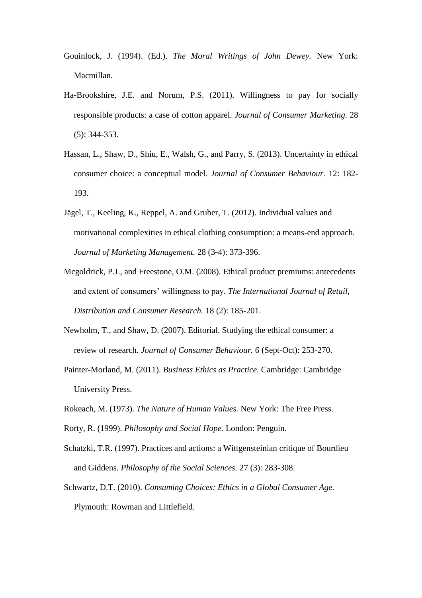- Gouinlock, J. (1994). (Ed.). *The Moral Writings of John Dewey.* New York: Macmillan.
- Ha-Brookshire, J.E. and Norum, P.S. (2011). Willingness to pay for socially responsible products: a case of cotton apparel. *Journal of Consumer Marketing.* 28 (5): 344-353.
- Hassan, L., Shaw, D., Shiu, E., Walsh, G., and Parry, S. (2013). Uncertainty in ethical consumer choice: a conceptual model. *Journal of Consumer Behaviour.* 12: 182- 193.
- Jägel, T., Keeling, K., Reppel, A. and Gruber, T. (2012). Individual values and motivational complexities in ethical clothing consumption: a means-end approach. *Journal of Marketing Management.* 28 (3-4): 373-396.
- Mcgoldrick, P.J., and Freestone, O.M. (2008). Ethical product premiums: antecedents and extent of consumers' willingness to pay. *The International Journal of Retail, Distribution and Consumer Research.* 18 (2): 185-201.
- Newholm, T., and Shaw, D. (2007). Editorial. Studying the ethical consumer: a review of research. *Journal of Consumer Behaviour.* 6 (Sept-Oct): 253-270.
- Painter-Morland, M. (2011). *Business Ethics as Practice.* Cambridge: Cambridge University Press.
- Rokeach, M. (1973). *The Nature of Human Values.* New York: The Free Press.
- Rorty, R. (1999). *Philosophy and Social Hope.* London: Penguin.
- Schatzki, T.R. (1997). Practices and actions: a Wittgensteinian critique of Bourdieu and Giddens. *Philosophy of the Social Sciences.* 27 (3): 283-308.
- Schwartz, D.T. (2010). *Consuming Choices: Ethics in a Global Consumer Age.* Plymouth: Rowman and Littlefield.